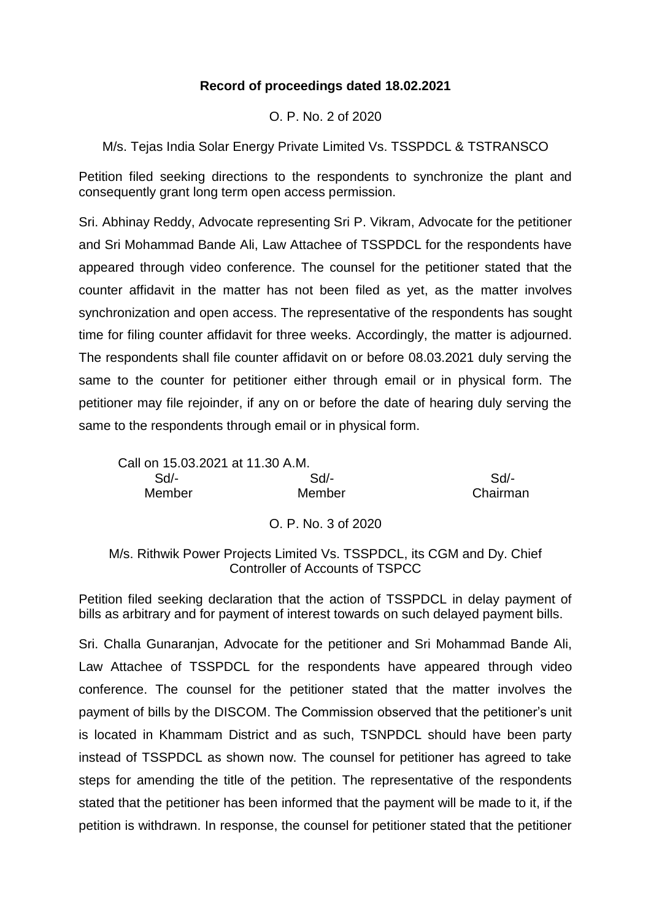# **Record of proceedings dated 18.02.2021**

O. P. No. 2 of 2020

M/s. Tejas India Solar Energy Private Limited Vs. TSSPDCL & TSTRANSCO

Petition filed seeking directions to the respondents to synchronize the plant and consequently grant long term open access permission.

Sri. Abhinay Reddy, Advocate representing Sri P. Vikram, Advocate for the petitioner and Sri Mohammad Bande Ali, Law Attachee of TSSPDCL for the respondents have appeared through video conference. The counsel for the petitioner stated that the counter affidavit in the matter has not been filed as yet, as the matter involves synchronization and open access. The representative of the respondents has sought time for filing counter affidavit for three weeks. Accordingly, the matter is adjourned. The respondents shall file counter affidavit on or before 08.03.2021 duly serving the same to the counter for petitioner either through email or in physical form. The petitioner may file rejoinder, if any on or before the date of hearing duly serving the same to the respondents through email or in physical form.

Call on 15.03.2021 at 11.30 A.M. Sd/- Sd/- Sd/- Member Member Chairman

O. P. No. 3 of 2020

M/s. Rithwik Power Projects Limited Vs. TSSPDCL, its CGM and Dy. Chief Controller of Accounts of TSPCC

Petition filed seeking declaration that the action of TSSPDCL in delay payment of bills as arbitrary and for payment of interest towards on such delayed payment bills.

Sri. Challa Gunaranjan, Advocate for the petitioner and Sri Mohammad Bande Ali, Law Attachee of TSSPDCL for the respondents have appeared through video conference. The counsel for the petitioner stated that the matter involves the payment of bills by the DISCOM. The Commission observed that the petitioner's unit is located in Khammam District and as such, TSNPDCL should have been party instead of TSSPDCL as shown now. The counsel for petitioner has agreed to take steps for amending the title of the petition. The representative of the respondents stated that the petitioner has been informed that the payment will be made to it, if the petition is withdrawn. In response, the counsel for petitioner stated that the petitioner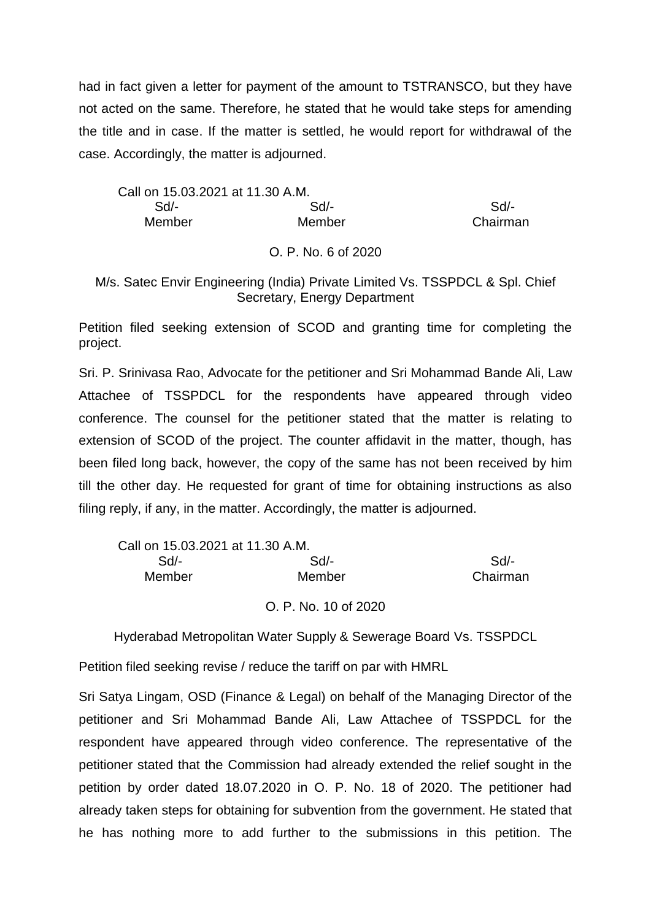had in fact given a letter for payment of the amount to TSTRANSCO, but they have not acted on the same. Therefore, he stated that he would take steps for amending the title and in case. If the matter is settled, he would report for withdrawal of the case. Accordingly, the matter is adjourned.

Call on 15.03.2021 at 11.30 A.M. Sd/- Sd/- Sd/- Member Member Chairman

#### O. P. No. 6 of 2020

### M/s. Satec Envir Engineering (India) Private Limited Vs. TSSPDCL & Spl. Chief Secretary, Energy Department

Petition filed seeking extension of SCOD and granting time for completing the project.

Sri. P. Srinivasa Rao, Advocate for the petitioner and Sri Mohammad Bande Ali, Law Attachee of TSSPDCL for the respondents have appeared through video conference. The counsel for the petitioner stated that the matter is relating to extension of SCOD of the project. The counter affidavit in the matter, though, has been filed long back, however, the copy of the same has not been received by him till the other day. He requested for grant of time for obtaining instructions as also filing reply, if any, in the matter. Accordingly, the matter is adjourned.

| Call on 15.03.2021 at 11.30 A.M. |                      |          |
|----------------------------------|----------------------|----------|
| Sd/-                             | Sd/-                 | Sd       |
| Member                           | Member               | Chairman |
|                                  | O. P. No. 10 of 2020 |          |

Hyderabad Metropolitan Water Supply & Sewerage Board Vs. TSSPDCL

Petition filed seeking revise / reduce the tariff on par with HMRL

Sri Satya Lingam, OSD (Finance & Legal) on behalf of the Managing Director of the petitioner and Sri Mohammad Bande Ali, Law Attachee of TSSPDCL for the respondent have appeared through video conference. The representative of the petitioner stated that the Commission had already extended the relief sought in the petition by order dated 18.07.2020 in O. P. No. 18 of 2020. The petitioner had already taken steps for obtaining for subvention from the government. He stated that he has nothing more to add further to the submissions in this petition. The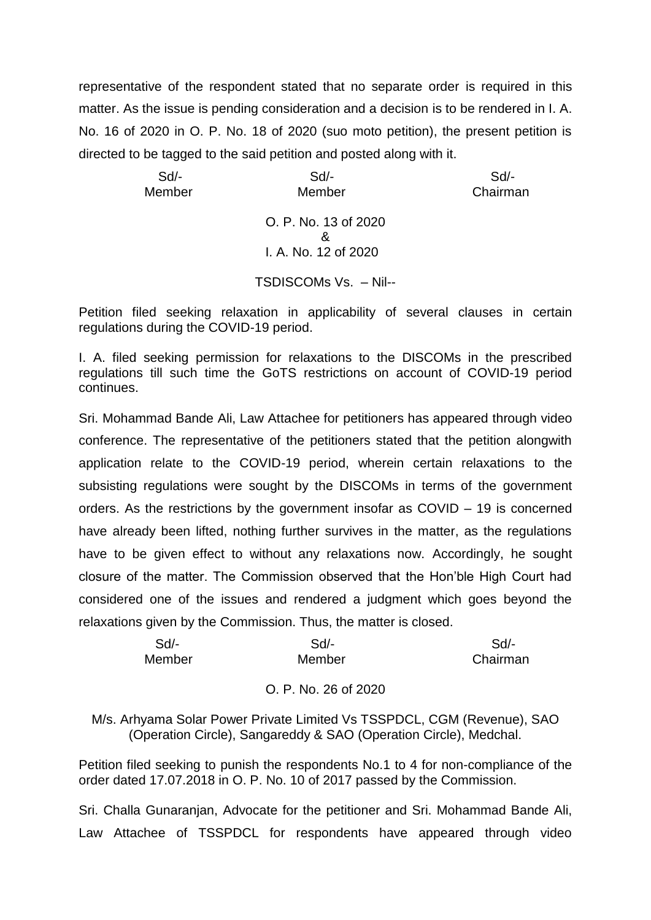representative of the respondent stated that no separate order is required in this matter. As the issue is pending consideration and a decision is to be rendered in I. A. No. 16 of 2020 in O. P. No. 18 of 2020 (suo moto petition), the present petition is directed to be tagged to the said petition and posted along with it.

 Sd/- Sd/- Sd/- Member Member Chairman O. P. No. 13 of 2020 & I. A. No. 12 of 2020

TSDISCOMs Vs. – Nil--

Petition filed seeking relaxation in applicability of several clauses in certain regulations during the COVID-19 period.

I. A. filed seeking permission for relaxations to the DISCOMs in the prescribed regulations till such time the GoTS restrictions on account of COVID-19 period continues.

Sri. Mohammad Bande Ali, Law Attachee for petitioners has appeared through video conference. The representative of the petitioners stated that the petition alongwith application relate to the COVID-19 period, wherein certain relaxations to the subsisting regulations were sought by the DISCOMs in terms of the government orders. As the restrictions by the government insofar as COVID – 19 is concerned have already been lifted, nothing further survives in the matter, as the regulations have to be given effect to without any relaxations now. Accordingly, he sought closure of the matter. The Commission observed that the Hon'ble High Court had considered one of the issues and rendered a judgment which goes beyond the relaxations given by the Commission. Thus, the matter is closed.

| Sd/-   | Sd/-   | Sd/-     |
|--------|--------|----------|
| Member | Member | Chairman |

# O. P. No. 26 of 2020

M/s. Arhyama Solar Power Private Limited Vs TSSPDCL, CGM (Revenue), SAO (Operation Circle), Sangareddy & SAO (Operation Circle), Medchal.

Petition filed seeking to punish the respondents No.1 to 4 for non-compliance of the order dated 17.07.2018 in O. P. No. 10 of 2017 passed by the Commission.

Sri. Challa Gunaranjan, Advocate for the petitioner and Sri. Mohammad Bande Ali, Law Attachee of TSSPDCL for respondents have appeared through video